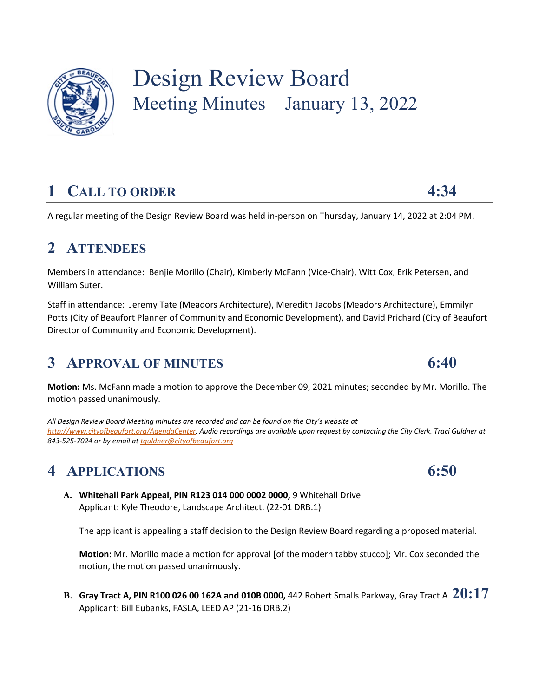

# Design Review Board Meeting Minutes – January 13, 2022

# **1 CALL TO ORDER 4:34**

A regular meeting of the Design Review Board was held in-person on Thursday, January 14, 2022 at 2:04 PM.

### **2 ATTENDEES**

Members in attendance: Benjie Morillo (Chair), Kimberly McFann (Vice-Chair), Witt Cox, Erik Petersen, and William Suter.

Staff in attendance: Jeremy Tate (Meadors Architecture), Meredith Jacobs (Meadors Architecture), Emmilyn Potts (City of Beaufort Planner of Community and Economic Development), and David Prichard (City of Beaufort Director of Community and Economic Development).

### **3 APPROVAL OF MINUTES 6:40**

**Motion:** Ms. McFann made a motion to approve the December 09, 2021 minutes; seconded by Mr. Morillo. The motion passed unanimously.

*All Design Review Board Meeting minutes are recorded and can be found on the City's website at [http://www.cityofbeaufort.org/AgendaCenter.](http://www.cityofbeaufort.org/AgendaCenter) Audio recordings are available upon request by contacting the City Clerk, Traci Guldner at 843-525-7024 or by email a[t tguldner@cityofbeaufort.org](mailto:iburgess@cityofbeaufort.org)*

## **4 APPLICATIONS 6:50**

**A. Whitehall Park Appeal, PIN R123 014 000 0002 0000,** 9 Whitehall Drive Applicant: Kyle Theodore, Landscape Architect. (22-01 DRB.1)

The applicant is appealing a staff decision to the Design Review Board regarding a proposed material.

**Motion:** Mr. Morillo made a motion for approval [of the modern tabby stucco]; Mr. Cox seconded the motion, the motion passed unanimously.

**B. Gray Tract A, PIN R100 026 00 162A and 010B 0000,** 442 Robert Smalls Parkway, Gray Tract A **20:17** Applicant: Bill Eubanks, FASLA, LEED AP (21-16 DRB.2)